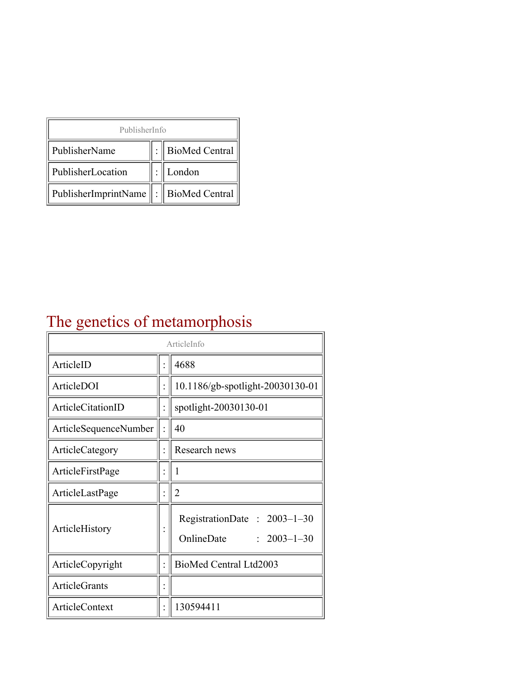| PublisherInfo                                   |  |                    |  |  |
|-------------------------------------------------|--|--------------------|--|--|
| PublisherName                                   |  | :   BioMed Central |  |  |
| PublisherLocation                               |  | London             |  |  |
| PublisherImprintName $\ \cdot\ $ BioMed Central |  |                    |  |  |

## The genetics of metamorphosis

| ArticleInfo           |  |                                                                  |
|-----------------------|--|------------------------------------------------------------------|
| ArticleID             |  | 4688                                                             |
| ArticleDOI            |  | 10.1186/gb-spotlight-20030130-01                                 |
| ArticleCitationID     |  | spotlight-20030130-01                                            |
| ArticleSequenceNumber |  | 40                                                               |
| ArticleCategory       |  | Research news                                                    |
| ArticleFirstPage      |  | I                                                                |
| ArticleLastPage       |  | 2                                                                |
| ArticleHistory        |  | RegistrationDate: $2003-1-30$<br>OnlineDate<br>$: 2003 - 1 - 30$ |
| ArticleCopyright      |  | BioMed Central Ltd2003                                           |
| ArticleGrants         |  |                                                                  |
| ArticleContext        |  | 130594411                                                        |